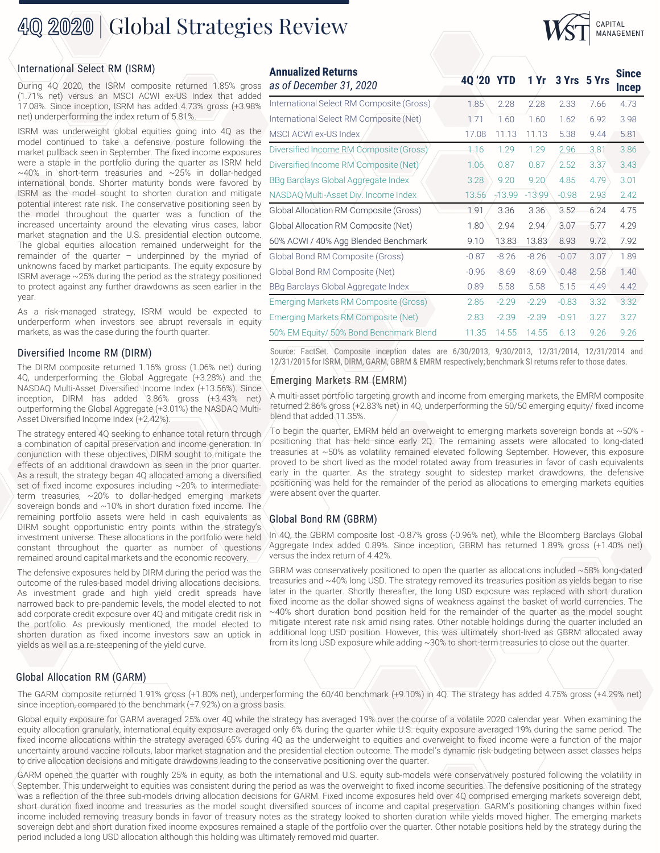## 40 2020 | Global Strategies Review

### International Select RM (ISRM)

During 4Q 2020, the ISRM composite returned 1.85% gross (1.71% net) versus an MSCI ACWI ex-US Index that added 17.08%. Since inception, ISRM has added 4.73% gross (+3.98% net) underperforming the index return of 5.81%.

ISRM was underweight global equities going into 4Q as the model continued to take a defensive posture following the market pullback seen in September. The fixed income exposures were a staple in the portfolio during the quarter as ISRM held  $\sim$ 40% in short-term treasuries and  $\sim$ 25% in dollar-hedged international bonds. Shorter maturity bonds were favored by ISRM as the model sought to shorten duration and mitigate potential interest rate risk. The conservative positioning seen by the model throughout the quarter was a function of the increased uncertainty around the elevating virus cases, labor market stagnation and the U.S. presidential election outcome. The global equities allocation remained underweight for the remainder of the quarter  $-$  underpinned by the myriad of unknowns faced by market participants. The equity exposure by ISRM average ~25% during the period as the strategy positioned to protect against any further drawdowns as seen earlier in the year.

As a risk-managed strategy, ISRM would be expected to underperform when investors see abrupt reversals in equity markets, as was the case during the fourth quarter.

The DIRM composite returned 1.16% gross (1.06% net) during 4Q, underperforming the Global Aggregate (+3.28%) and the NASDAQ Multi-Asset Diversified Income Index (+13.56%). Since inception, DIRM has added 3.86% gross (+3.43% net) outperforming the Global Aggregate (+3.01%) the NASDAQ Multi-Asset Diversified Income Index (+2.42%).

The strategy entered 4Q seeking to enhance total return through a combination of capital preservation and income generation. In conjunction with these objectives, DIRM sought to mitigate the effects of an additional drawdown as seen in the prior quarter. As a result, the strategy began 4Q allocated among a diversified set of fixed income exposures including ~20% to intermediateterm treasuries, ~20% to dollar-hedged emerging markets sovereign bonds and ~10% in short duration fixed income. The remaining portfolio assets were held in cash equivalents as DIRM sought opportunistic entry points within the strategy's investment universe. These allocations in the portfolio were held constant throughout the quarter as number of questions remained around capital markets and the economic recovery.

The defensive exposures held by DIRM during the period was the outcome of the rules-based model driving allocations decisions. As investment grade and high yield credit spreads have narrowed back to pre-pandemic levels, the model elected to not add corporate credit exposure over 4Q and mitigate credit risk in the portfolio. As previously mentioned, the model elected to shorten duration as fixed income investors saw an uptick in yields as well as a re-steepening of the yield curve.

| <b>Annualized Returns</b><br>as of December 31, 2020 | 40/20 YTD 1 Yr 3 Yrs 5 Yrs |          |          |         |      | <b>Since</b><br><b>Incep</b> |
|------------------------------------------------------|----------------------------|----------|----------|---------|------|------------------------------|
| International Select RM Composite (Gross)            | 1.85                       | 2.28     | 2.28     | 2.33    | 7.66 | 4.73                         |
| International Select RM Composite (Net)              | 1.71                       | 1.60     | 1.60     | 1.62    | 6.92 | 3.98                         |
| MSCI ACWI ex-US Index                                | 17.08                      | 11.13    | 11.13    | 5.38    | 9.44 | 5.81                         |
| Diversified Income RM Composite (Gross)              | 1.16                       | 1.29     | 1.29     | 2.96    | 3.81 | 3.86                         |
| Diversified/Income RM Composite (Net)                | 1.06                       | 0.87     | 0.87     | 2.52    | 3.37 | 3.43                         |
| BBq Barclays Global Aggregate Index                  | 3.28                       | 9.20     | 9.20     | 4.85    | 4.79 | 3.01                         |
| NASDAQ Multi-Asset Div. Income Index                 | 13.56                      | $-13.99$ | $-13.99$ | $-0.98$ | 2.93 | 2.42                         |
| Global Allocation RM Composite (Gross)               | 1.91                       | 3.36     | 3.36     | 3.52    | 6.24 | 4.75                         |
| Global Allocation RM Composite (Net)                 | 1.80                       | 2.94     | 2.94     | 3.07    | 5.77 | 4.29                         |
| 60% ACWI / 40% Agg Blended Benchmark                 | 9.10                       | 13.83    | 13.83    | 8.93    | 9.72 | 7.92                         |
| Global Bond RM Composite (Gross)                     | $-0.87$                    | $-8.26$  | $-8.26$  | $-0.07$ | 3.07 | 1.89                         |
| Global Bond RM Composite (Net)                       | $-0.96$                    | $-8.69$  | $-8.69$  | $-0.48$ | 2.58 | 1.40                         |
| BBg Barclays Global Aggregate Index                  | 0.89                       | 5.58     | 5.58     | 5.15    | 4.49 | 4.42                         |
| Emerging Markets RM Composite (Gross)                | 2.86                       | $-2.29$  | $-2.29$  | $-0.83$ | 3.32 | 3.32                         |
| Emerging Markets RM Composite (Net)                  | 2.83                       | $-2.39$  | $-2.39$  | $-0.91$ | 3.27 | 3.27                         |
| 50% EM Equity/ 50% Bond Benchmark Blend              | 11.35                      | 14.55    | 14.55    | 6.13    | 9.26 | 9.26                         |
|                                                      |                            |          |          |         |      |                              |

CAPITAL MANAGEMENT

Source: FactSet. Composite inception dates are 6/30/2013, 9/30/2013, 12/31/2014, 12/31/2014 and 12/31/2014, 12/31/2014 Source: FactSet. Composite inception dates are 6/30/2013, 9/30/2013, 12/31/2014, 12/31/2014<br>The DIRM, GARM, GARM, GARM, GARM & EMRM respectively; benchmark SI returns refer to those dates.

#### Emerging Markets RM (EMRM)

A multi-asset portfolio targeting growth and income from emerging markets, the EMRM composite returned 2.86% gross (+2.83% net) in 4Q, underperforming the 50/50 emerging equity/ fixed income blend that added 11.35%.

To begin the quarter, EMRM held an overweight to emerging markets sovereign bonds at  $\sim$  50% positioning that has held since early 2Q. The remaining assets were allocated to long-dated treasuries at ~50% as volatility remained elevated following September. However, this exposure proved to be short lived as the model rotated away from treasuries in favor of cash equivalents early in the quarter. As the strategy sought to sidestep market drawdowns, the defensive positioning was held for the remainder of the period as allocations to emerging markets equities were absent over the quarter.

#### Global Bond RM (GBRM)

In 4Q, the GBRM composite lost -0.87% gross (-0.96% net), while the Bloomberg Barclays Global Aggregate Index added 0.89%. Since inception, GBRM has returned 1.89% gross (+1.40% net) versus the index return of 4.42%.

GBRM was conservatively positioned to open the quarter as allocations included ~58% long-dated treasuries and ~40% long USD. The strategy removed its treasuries position as yields began to rise later in the quarter. Shortly thereafter, the long USD exposure was replaced with short duration fixed income as the dollar showed signs of weakness against the basket of world currencies. The  $\sim$  40% short duration bond position held for the remainder of the quarter as the model sought mitigate interest rate risk amid rising rates. Other notable holdings during the quarter included an additional long USD position. However, this was ultimately short-lived as GBRM allocated away from its long USD exposure while adding ~30% to short-term treasuries to close out the quarter.

#### Global Allocation RM (GARM)

The GARM composite returned 1.91% gross (+1.80% net), underperforming the 60/40 benchmark (+9.10%) in 4Q. The strategy has added 4.75% gross (+4.29% net) since inception, compared to the benchmark (+7.92%) on a gross basis.

Global equity exposure for GARM averaged 25% over 4Q while the strategy has averaged 19% over the course of a volatile 2020 calendar year. When examining the equity allocation granularly, international equity exposure averaged only 6% during the quarter while U.S. equity exposure averaged 19% during the same period. The fixed income allocations within the strategy averaged 65% during 4Q as the underweight to equities and overweight to fixed income were a function of the major uncertainty around vaccine rollouts, labor market stagnation and the presidential election outcome. The model's dynamic risk-budgeting between asset classes helps to drive allocation decisions and mitigate drawdowns leading to the conservative positioning over the quarter.

GARM opened the quarter with roughly 25% in equity, as both the international and U.S. equity sub-models were conservatively postured following the volatility in September. This underweight to equities was consistent during the period as was the overweight to fixed income securities. The defensive positioning of the strategy was a reflection of the three sub-models driving allocation decisions for GARM. Fixed income exposures held over 4Q comprised emerging markets sovereign debt, short duration fixed income and treasuries as the model sought diversified sources of income and capital preservation. GARM's positioning changes within fixed income included removing treasury bonds in favor of treasury notes as the strategy looked to shorten duration while yields moved higher. The emerging markets sovereign debt and short duration fixed income exposures remained a staple of the portfolio over the quarter. Other notable positions held by the strategy during the period included a long USD allocation although this holding was ultimately removed mid quarter.